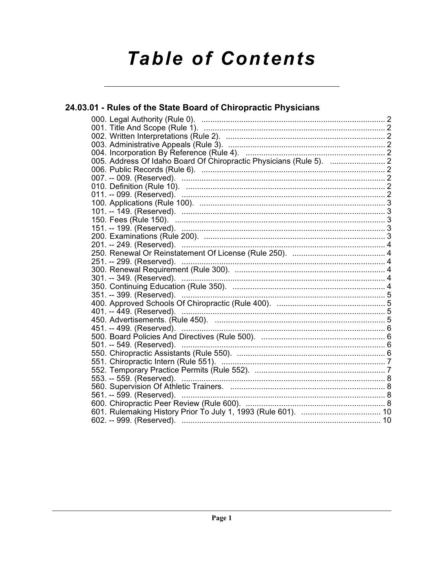# **Table of Contents**

# 24.03.01 - Rules of the State Board of Chiropractic Physicians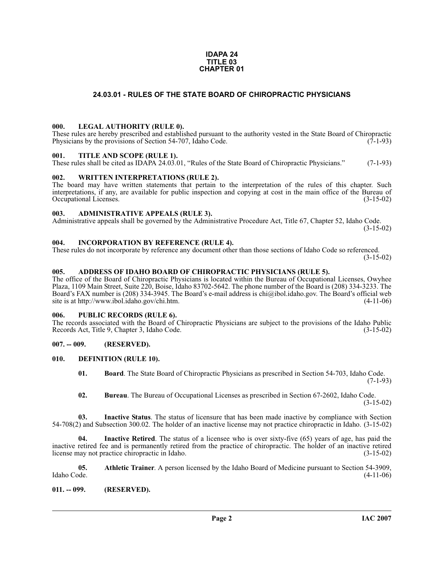#### **IDAPA 24 TITLE 03 CHAPTER 01**

# **24.03.01 - RULES OF THE STATE BOARD OF CHIROPRACTIC PHYSICIANS**

#### <span id="page-1-1"></span><span id="page-1-0"></span>**000. LEGAL AUTHORITY (RULE 0).**

These rules are hereby prescribed and established pursuant to the authority vested in the State Board of Chiropractic Physicians by the provisions of Section 54-707, Idaho Code. (7-1-93) Physicians by the provisions of Section 54-707, Idaho Code.

#### <span id="page-1-2"></span>**001. TITLE AND SCOPE (RULE 1).**

These rules shall be cited as IDAPA 24.03.01, "Rules of the State Board of Chiropractic Physicians." (7-1-93)

### <span id="page-1-3"></span>**002. WRITTEN INTERPRETATIONS (RULE 2).**

The board may have written statements that pertain to the interpretation of the rules of this chapter. Such interpretations, if any, are available for public inspection and copying at cost in the main office of the Bureau of Occupational Licenses. (3-15-02) Occupational Licenses.

#### <span id="page-1-4"></span>**003. ADMINISTRATIVE APPEALS (RULE 3).**

Administrative appeals shall be governed by the Administrative Procedure Act, Title 67, Chapter 52, Idaho Code.

(3-15-02)

#### <span id="page-1-5"></span>**004. INCORPORATION BY REFERENCE (RULE 4).**

These rules do not incorporate by reference any document other than those sections of Idaho Code so referenced. (3-15-02)

# <span id="page-1-6"></span>**005. ADDRESS OF IDAHO BOARD OF CHIROPRACTIC PHYSICIANS (RULE 5).**

[The office of the Board of Chiropractic Physicians is located within the Bureau of Occupational Licenses, Owyhee](mailto:chi@ibol.idaho.gov)  Plaza, 1109 Main Street, Suite 220, Boise, Idaho 83702-5642. The phone number of the Board is (208) 334-3233. The Board's FAX number is (208) 334-3945. The Board's e-mail address is chi@ibol.idaho.gov. The Board's official web [site is at](mailto:chi@ibol.idaho.gov) [http://www.ibol.idaho.gov/chi.htm. \(4-11-06\)](http://www.ibol.idaho.gov/chi.htm)

### <span id="page-1-7"></span>**006. PUBLIC RECORDS (RULE 6).**

The records associated with the Board of Chiropractic Physicians are subject to the provisions of the Idaho Public<br>Records Act. Title 9. Chapter 3. Idaho Code. (3-15-02) Records Act, Title 9, Chapter 3, Idaho Code.

### <span id="page-1-8"></span>**007. -- 009. (RESERVED).**

## <span id="page-1-9"></span>**010. DEFINITION (RULE 10).**

- <span id="page-1-12"></span>**01. Board**. The State Board of Chiropractic Physicians as prescribed in Section 54-703, Idaho Code.  $(7-1-93)$
- **02. Bureau**. The Bureau of Occupational Licenses as prescribed in Section 67-2602, Idaho Code. (3-15-02)

**03. Inactive Status**. The status of licensure that has been made inactive by compliance with Section 54-708(2) and Subsection 300.02. The holder of an inactive license may not practice chiropractic in Idaho. (3-15-02)

**04. Inactive Retired**. The status of a licensee who is over sixty-five (65) years of age, has paid the inactive retired fee and is permanently retired from the practice of chiropractic. The holder of an inactive retired license may not practice chiropractic in Idaho. (3-15-02)

<span id="page-1-11"></span>**05.** Athletic Trainer. A person licensed by the Idaho Board of Medicine pursuant to Section 54-3909, Idaho Code. (4-11-06) Idaho Code. (4-11-06)

#### <span id="page-1-10"></span>**011. -- 099. (RESERVED).**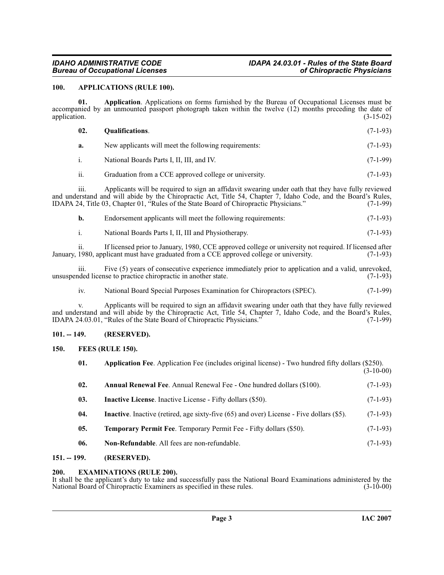# *IDAHO ADMINISTRATIVE CODE IDAPA 24.03.01 - Rules of the State Board*

## <span id="page-2-7"></span><span id="page-2-0"></span>**100. APPLICATIONS (RULE 100).**

**01. Application**. Applications on forms furnished by the Bureau of Occupational Licenses must be accompanied by an unmounted passport photograph taken within the twelve (12) months preceding the date of application. (3-15-02) application. (3-15-02)

<span id="page-2-12"></span>

| 02.           | <b>Oualifications.</b>                                        | $(7-1-93)$ |
|---------------|---------------------------------------------------------------|------------|
| a.            | New applicants will meet the following requirements:          |            |
|               | National Boards Parts I, II, III, and IV.                     |            |
| $\cdot \cdot$ | $\sim$ 1 $\cdot$ $\sim$<br>$\sim$ $\sim$ $\sim$ $\sim$ $\sim$ | (7.102)    |

ii. Graduation from a CCE approved college or university. (7-1-93)

iii. Applicants will be required to sign an affidavit swearing under oath that they have fully reviewed and understand and will abide by the Chiropractic Act, Title 54, Chapter 7, Idaho Code, and the Board's Rules,<br>IDAPA 24, Title 03, Chapter 01, "Rules of the State Board of Chiropractic Physicians." (7-1-99) IDAPA 24, Title 03, Chapter 01, "Rules of the State Board of Chiropractic Physicians."

| Endorsement applicants will meet the following requirements: |  | $(7-1-93)$ |
|--------------------------------------------------------------|--|------------|
|                                                              |  |            |

i. National Boards Parts I, II, III and Physiotherapy. (7-1-93)

ii. If licensed prior to January, 1980, CCE approved college or university not required. If licensed after January, 1980, applicant must have graduated from a CCE approved college or university. (7-1-93)

iii. Five (5) years of consecutive experience immediately prior to application and a valid, unrevoked, unsuspended license to practice chiropractic in another state.

iv. National Board Special Purposes Examination for Chiropractors (SPEC). (7-1-99)

v. Applicants will be required to sign an affidavit swearing under oath that they have fully reviewed and understand and will abide by the Chiropractic Act, Title 54, Chapter 7, Idaho Code, and the Board's Rules,<br>IDAPA 24.03.01, "Rules of the State Board of Chiropractic Physicians." (7-1-99) IDAPA 24.03.01, "Rules of the State Board of Chiropractic Physicians."

# <span id="page-2-1"></span>**101. -- 149. (RESERVED).**

<span id="page-2-2"></span>**150. FEES (RULE 150).**

<span id="page-2-10"></span><span id="page-2-9"></span><span id="page-2-8"></span><span id="page-2-6"></span><span id="page-2-5"></span>

| 01. | Application Fee. Application Fee (includes original license) - Two hundred fifty dollars (\$250). | $(3-10-00)$ |
|-----|---------------------------------------------------------------------------------------------------|-------------|
| 02. | <b>Annual Renewal Fee.</b> Annual Renewal Fee - One hundred dollars (\$100).                      | $(7-1-93)$  |
| 03. | <b>Inactive License.</b> Inactive License - Fifty dollars (\$50).                                 | $(7-1-93)$  |
| 04. | <b>Inactive.</b> Inactive (retired, age sixty-five (65) and over) License - Five dollars (\$5).   | $(7-1-93)$  |
| 05. | <b>Temporary Permit Fee.</b> Temporary Permit Fee - Fifty dollars (\$50).                         | $(7-1-93)$  |
| 06. | <b>Non-Refundable.</b> All fees are non-refundable.                                               | $(7-1-93)$  |

# <span id="page-2-13"></span><span id="page-2-11"></span><span id="page-2-3"></span>**151. -- 199. (RESERVED).**

# <span id="page-2-4"></span>**200. EXAMINATIONS (RULE 200).**

It shall be the applicant's duty to take and successfully pass the National Board Examinations administered by the National Board of Chiropractic Examiners as specified in these rules. (3-10-00) National Board of Chiropractic Examiners as specified in these rules.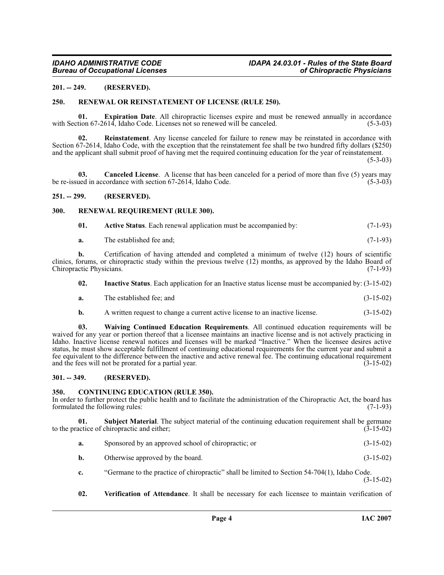### <span id="page-3-0"></span>**201. -- 249. (RESERVED).**

### <span id="page-3-12"></span><span id="page-3-1"></span>**250. RENEWAL OR REINSTATEMENT OF LICENSE (RULE 250).**

<span id="page-3-9"></span>**01. Expiration Date**. All chiropractic licenses expire and must be renewed annually in accordance tion 67-2614, Idaho Code. Licenses not so renewed will be canceled. (5-3-03) with Section 67-2614, Idaho Code. Licenses not so renewed will be canceled.

<span id="page-3-11"></span>**02. Reinstatement**. Any license canceled for failure to renew may be reinstated in accordance with Section 67-2614, Idaho Code, with the exception that the reinstatement fee shall be two hundred fifty dollars (\$250) and the applicant shall submit proof of having met the required continuing education for the year of reinstatement.

 $(5-3-03)$ 

<span id="page-3-7"></span>**03. Canceled License**. A license that has been canceled for a period of more than five (5) years may used in accordance with section 67-2614, Idaho Code. (5-3-03) be re-issued in accordance with section 67-2614, Idaho Code.

#### <span id="page-3-2"></span>**251. -- 299. (RESERVED).**

#### <span id="page-3-3"></span>**300. RENEWAL REQUIREMENT (RULE 300).**

<span id="page-3-13"></span><span id="page-3-6"></span>

| 01. |  | <b>Active Status.</b> Each renewal application must be accompanied by: |  | $(7-1-93)$ |
|-----|--|------------------------------------------------------------------------|--|------------|
|-----|--|------------------------------------------------------------------------|--|------------|

**a.** The established fee and; (7-1-93)

**b.** Certification of having attended and completed a minimum of twelve (12) hours of scientific clinics, forums, or chiropractic study within the previous twelve (12) months, as approved by the Idaho Board of Chiropractic Physicians. (7-1-93) Chiropractic Physicians.

- <span id="page-3-10"></span>**02. Inactive Status**. Each application for an Inactive status license must be accompanied by: (3-15-02)
- **a.** The established fee; and (3-15-02)
- **b.** A written request to change a current active license to an inactive license.  $(3-15-02)$

**03. Waiving Continued Education Requirements**. All continued education requirements will be waived for any year or portion thereof that a licensee maintains an inactive license and is not actively practicing in Idaho. Inactive license renewal notices and licenses will be marked "Inactive." When the licensee desires active status, he must show acceptable fulfillment of continuing educational requirements for the current year and submit a fee equivalent to the difference between the inactive and active renewal fee. The continuing educational requirement and the fees will not be prorated for a partial year. (3-15-02)

#### <span id="page-3-4"></span>**301. -- 349. (RESERVED).**

#### <span id="page-3-8"></span><span id="page-3-5"></span>**350. CONTINUING EDUCATION (RULE 350).**

In order to further protect the public health and to facilitate the administration of the Chiropractic Act, the board has formulated the following rules:  $(7-1-93)$ formulated the following rules:

**01. Subject Material**. The subject material of the continuing education requirement shall be germane to the practice of chiropractic and either;  $(3-15-02)$ 

- <span id="page-3-14"></span>**a.** Sponsored by an approved school of chiropractic; or (3-15-02)
- **b.** Otherwise approved by the board. (3-15-02)
- **c.** "Germane to the practice of chiropractic" shall be limited to Section 54-704(1), Idaho Code. (3-15-02)
- <span id="page-3-15"></span>**02. Verification of Attendance**. It shall be necessary for each licensee to maintain verification of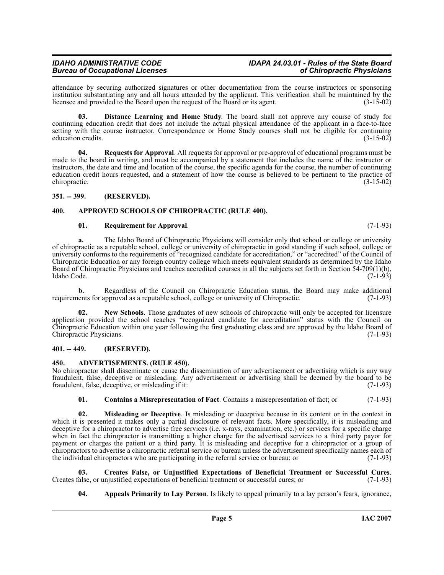# *IDAHO ADMINISTRATIVE CODE IDAPA 24.03.01 - Rules of the State Board*

attendance by securing authorized signatures or other documentation from the course instructors or sponsoring institution substantiating any and all hours attended by the applicant. This verification shall be maintained by the licensee and provided to the Board upon the request of the Board or its agent. (3-15-02)

**03. Distance Learning and Home Study**. The board shall not approve any course of study for continuing education credit that does not include the actual physical attendance of the applicant in a face-to-face setting with the course instructor. Correspondence or Home Study courses shall not be eligible for continuing education credits. (3-15-02) education credits.

**04. Requests for Approval**. All requests for approval or pre-approval of educational programs must be made to the board in writing, and must be accompanied by a statement that includes the name of the instructor or instructors, the date and time and location of the course, the specific agenda for the course, the number of continuing education credit hours requested, and a statement of how the course is believed to be pertinent to the practice of chiropractic. (3-15-02)

# <span id="page-4-0"></span>**351. -- 399. (RESERVED).**

# <span id="page-4-1"></span>**400. APPROVED SCHOOLS OF CHIROPRACTIC (RULE 400).**

# <span id="page-4-11"></span><span id="page-4-6"></span>**01. Requirement for Approval**. (7-1-93)

**a.** The Idaho Board of Chiropractic Physicians will consider only that school or college or university of chiropractic as a reputable school, college or university of chiropractic in good standing if such school, college or university conforms to the requirements of "recognized candidate for accreditation," or "accredited" of the Council of Chiropractic Education or any foreign country college which meets equivalent standards as determined by the Idaho Board of Chiropractic Physicians and teaches accredited courses in all the subjects set forth in Section 54-709(1)(b), Idaho Code. (7-1-93) Idaho Code. (7-1-93)

**b.** Regardless of the Council on Chiropractic Education status, the Board may make additional ents for approval as a reputable school, college or university of Chiropractic. (7-1-93) requirements for approval as a reputable school, college or university of Chiropractic.

<span id="page-4-10"></span>**02. New Schools**. Those graduates of new schools of chiropractic will only be accepted for licensure application provided the school reaches "recognized candidate for accreditation" status with the Council on Chiropractic Education within one year following the first graduating class and are approved by the Idaho Board of Chiropractic Physicians.

# <span id="page-4-2"></span>**401. -- 449. (RESERVED).**

# <span id="page-4-4"></span><span id="page-4-3"></span>**450. ADVERTISEMENTS. (RULE 450).**

No chiropractor shall disseminate or cause the dissemination of any advertisement or advertising which is any way fraudulent, false, deceptive or misleading. Any advertisement or advertising shall be deemed by the board to be fraudulent, false, deceptive, or misleading if it: (7-1-93)

# <span id="page-4-9"></span><span id="page-4-7"></span>**01. Contains a Misrepresentation of Fact**. Contains a misrepresentation of fact; or (7-1-93)

**02. Misleading or Deceptive**. Is misleading or deceptive because in its content or in the context in which it is presented it makes only a partial disclosure of relevant facts. More specifically, it is misleading and deceptive for a chiropractor to advertise free services (i.e. x-rays, examination, etc.) or services for a specific charge when in fact the chiropractor is transmitting a higher charge for the advertised services to a third party payor for payment or charges the patient or a third party. It is misleading and deceptive for a chiropractor or a group of chiropractors to advertise a chiropractic referral service or bureau unless the advertisement specifically names each of the individual chiropractors who are participating in the referral service or bureau; or (7-1-93)

**03.** Creates False, or Unjustified Expectations of Beneficial Treatment or Successful Cures.<br>
Calse, or unjustified expectations of beneficial treatment or successful cures; or (7-1-93) Creates false, or unjustified expectations of beneficial treatment or successful cures; or

<span id="page-4-8"></span><span id="page-4-5"></span>**04. Appeals Primarily to Lay Person**. Is likely to appeal primarily to a lay person's fears, ignorance,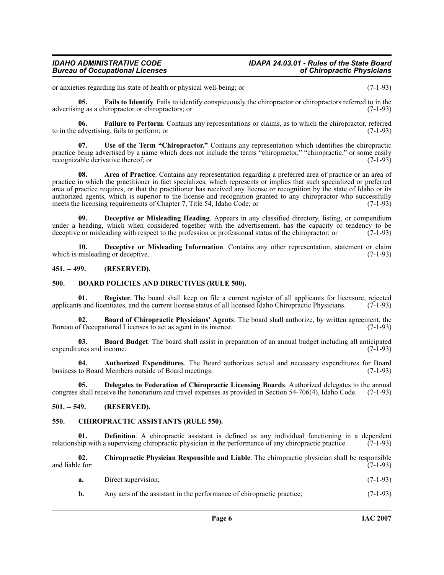# *IDAHO ADMINISTRATIVE CODE IDAPA 24.03.01 - Rules of the State Board*

or anxieties regarding his state of health or physical well-being; or (7-1-93)

<span id="page-5-14"></span>**05. Fails to Identify**. Fails to identify conspicuously the chiropractor or chiropractors referred to in the advertising as a chiropractor or chiropractors; or (7-1-93)

<span id="page-5-15"></span>**06. Failure to Perform**. Contains any representations or claims, as to which the chiropractor, referred advertising, fails to perform; or (7-1-93) to in the advertising, fails to perform; or

<span id="page-5-17"></span>**07. Use of the Term "Chiropractor."** Contains any representation which identifies the chiropractic practice being advertised by a name which does not include the terms "chiropractor," "chiropractic," or some easily recognizable derivative thereof: or (7-1-93) recognizable derivative thereof; or

<span id="page-5-4"></span>**08. Area of Practice**. Contains any representation regarding a preferred area of practice or an area of practice in which the practitioner in fact specializes, which represents or implies that such specialized or preferred area of practice requires, or that the practitioner has received any license or recognition by the state of Idaho or its authorized agents, which is superior to the license and recognition granted to any chiropractor who successfully meets the licensing requirements of Chapter 7, Title 54, Idaho Code; or (7-1-93) meets the licensing requirements of Chapter 7, Title 54, Idaho Code; or

<span id="page-5-11"></span>**09. Deceptive or Misleading Heading**. Appears in any classified directory, listing, or compendium under a heading, which when considered together with the advertisement, has the capacity or tendency to be deceptive or misleading with respect to the profession or professional status of the chiropractor; or  $(7-1-93)$ deceptive or misleading with respect to the profession or professional status of the chiropractor; or

<span id="page-5-12"></span>**10. Deceptive or Misleading Information**. Contains any other representation, statement or claim misleading or deceptive. (7-1-93) which is misleading or deceptive.

# <span id="page-5-0"></span>**451. -- 499. (RESERVED).**

### <span id="page-5-7"></span><span id="page-5-1"></span>**500. BOARD POLICIES AND DIRECTIVES (RULE 500).**

<span id="page-5-16"></span>**01. Register**. The board shall keep on file a current register of all applicants for licensure, rejected is and licentiates, and the current license status of all licensed Idaho Chiropractic Physicians. (7-1-93) applicants and licentiates, and the current license status of all licensed Idaho Chiropractic Physicians.

<span id="page-5-8"></span>**02. Board of Chiropractic Physicians' Agents**. The board shall authorize, by written agreement, the Bureau of Occupational Licenses to act as agent in its interest. (7-1-93)

<span id="page-5-6"></span>**03. Board Budget**. The board shall assist in preparation of an annual budget including all anticipated expenditures and income.

<span id="page-5-5"></span>**04.** Authorized Expenditures. The Board authorizes actual and necessary expenditures for Board to Board Members outside of Board meetings. (7-1-93) business to Board Members outside of Board meetings.

<span id="page-5-13"></span>**05. Delegates to Federation of Chiropractic Licensing Boards**. Authorized delegates to the annual congress shall receive the honorarium and travel expenses as provided in Section 54-706(4), Idaho Code. (7-1-93)

# <span id="page-5-2"></span>**501. -- 549. (RESERVED).**

#### <span id="page-5-9"></span><span id="page-5-3"></span>**550. CHIROPRACTIC ASSISTANTS (RULE 550).**

**01. Definition**. A chiropractic assistant is defined as any individual functioning in a dependent hip with a supervising chiropractic physician in the performance of any chiropractic practice. (7-1-93) relationship with a supervising chiropractic physician in the performance of any chiropractic practice.

**02. Chiropractic Physician Responsible and Liable**. The chiropractic physician shall be responsible and liable for:

<span id="page-5-10"></span>

| a. | Direct supervision; | $(7-1-93)$ |  |
|----|---------------------|------------|--|
|----|---------------------|------------|--|

**b.** Any acts of the assistant in the performance of chiropractic practice; (7-1-93)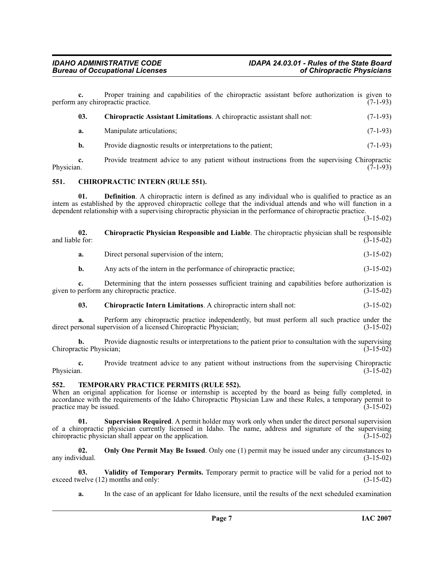<span id="page-6-3"></span><span id="page-6-2"></span><span id="page-6-0"></span>**c.** Proper training and capabilities of the chiropractic assistant before authorization is given to any chiropractic practice. (7-1-93) perform any chiropractic practice. **03. Chiropractic Assistant Limitations**. A chiropractic assistant shall not: (7-1-93) **a.** Manipulate articulations; (7-1-93) **b.** Provide diagnostic results or interpretations to the patient; (7-1-93) **c.** Provide treatment advice to any patient without instructions from the supervising Chiropractic Physician. (7-1-93) Physician.  $(7-1-93)$ **551. CHIROPRACTIC INTERN (RULE 551). 01. Definition**. A chiropractic intern is defined as any individual who is qualified to practice as an intern as established by the approved chiropractic college that the individual attends and who will function in a dependent relationship with a supervising chiropractic physician in the performance of chiropractic practice. (3-15-02) **02.** Chiropractic Physician Responsible and Liable. The chiropractic physician shall be responsible and liable for:<br>(3-15-02) and liable for: (3-15-02) **a.** Direct personal supervision of the intern; (3-15-02) **b.** Any acts of the intern in the performance of chiropractic practice:  $(3-15-02)$ **c.** Determining that the intern possesses sufficient training and capabilities before authorization is perform any chiropractic practice. (3-15-02) given to perform any chiropractic practice.

<span id="page-6-5"></span><span id="page-6-4"></span>**03. Chiropractic Intern Limitations**. A chiropractic intern shall not: (3-15-02)

**a.** Perform any chiropractic practice independently, but must perform all such practice under the rsonal supervision of a licensed Chiropractic Physician; (3-15-02) direct personal supervision of a licensed Chiropractic Physician;

**b.** Provide diagnostic results or interpretations to the patient prior to consultation with the supervising ctic Physician: (3-15-02) Chiropractic Physician;

**c.** Provide treatment advice to any patient without instructions from the supervising Chiropractic Physician. (3-15-02) Physician. (3-15-02)

#### <span id="page-6-7"></span><span id="page-6-1"></span>**552. TEMPORARY PRACTICE PERMITS (RULE 552).**

When an original application for license or internship is accepted by the board as being fully completed, in accordance with the requirements of the Idaho Chiropractic Physician Law and these Rules, a temporary permit to practice may be issued. practice may be issued.

**01. Supervision Required**. A permit holder may work only when under the direct personal supervision of a chiropractic physician currently licensed in Idaho. The name, address and signature of the supervising chiropractic physician shall appear on the application. (3-15-02) chiropractic physician shall appear on the application.

<span id="page-6-6"></span>**02. Only One Permit May Be Issued**. Only one (1) permit may be issued under any circumstances to any individual.  $(3-15-02)$ 

**03.** Validity of Temporary Permits. Temporary permit to practice will be valid for a period not to welve (12) months and only: (3-15-02) exceed twelve  $(12)$  months and only:

<span id="page-6-8"></span>**a.** In the case of an applicant for Idaho licensure, until the results of the next scheduled examination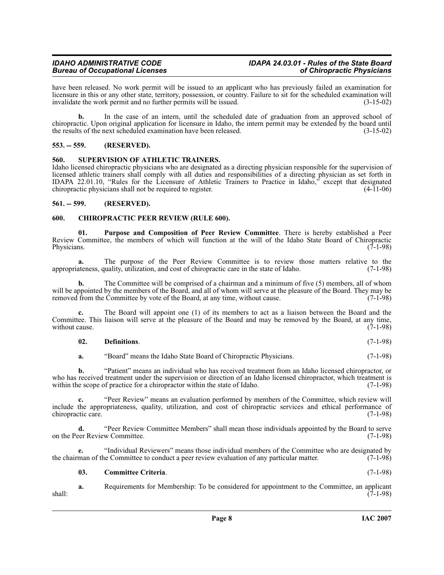# *IDAHO ADMINISTRATIVE CODE IDAPA 24.03.01 - Rules of the State Board*

have been released. No work permit will be issued to an applicant who has previously failed an examination for licensure in this or any other state, territory, possession, or country. Failure to sit for the scheduled examination will invalidate the work permit and no further permits will be issued. (3-15-02)

**b.** In the case of an intern, until the scheduled date of graduation from an approved school of chiropractic. Upon original application for licensure in Idaho, the intern permit may be extended by the board until the results of the next scheduled examination have been released.

# <span id="page-7-0"></span>**553. -- 559. (RESERVED).**

### <span id="page-7-7"></span><span id="page-7-1"></span>**560. SUPERVISION OF ATHLETIC TRAINERS.**

Idaho licensed chiropractic physicians who are designated as a directing physician responsible for the supervision of licensed athletic trainers shall comply with all duties and responsibilities of a directing physician as set forth in IDAPA 22.01.10, "Rules for the Licensure of Athletic Trainers to Practice in Idaho," except that designated chiropractic physicians shall not be required to register. (4-11-06)

### <span id="page-7-2"></span>**561. -- 599. (RESERVED).**

### <span id="page-7-4"></span><span id="page-7-3"></span>**600. CHIROPRACTIC PEER REVIEW (RULE 600).**

<span id="page-7-6"></span>**01. Purpose and Composition of Peer Review Committee**. There is hereby established a Peer Review Committee, the members of which will function at the will of the Idaho State Board of Chiropractic Physicians. (7-1-98) Physicians. (7-1-98)

**a.** The purpose of the Peer Review Committee is to review those matters relative to the ateness, quality utilization, and cost of chiropractic care in the state of Idaho. (7-1-98) appropriateness, quality, utilization, and cost of chiropractic care in the state of Idaho.

**b.** The Committee will be comprised of a chairman and a minimum of five (5) members, all of whom will be appointed by the members of the Board, and all of whom will serve at the pleasure of the Board. They may be removed from the Committee by vote of the Board, at any time, without cause. (7-1-98) removed from the Committee by vote of the Board, at any time, without cause.

**c.** The Board will appoint one (1) of its members to act as a liaison between the Board and the Committee. This liaison will serve at the pleasure of the Board and may be removed by the Board, at any time, without cause.  $(7-1-98)$ without cause.

# **02. Definitions**. (7-1-98)

**a.** "Board" means the Idaho State Board of Chiropractic Physicians. (7-1-98)

**b.** "Patient" means an individual who has received treatment from an Idaho licensed chiropractor, or who has received treatment under the supervision or direction of an Idaho licensed chiropractor, which treatment is within the scope of practice for a chiropractor within the state of Idaho. (7-1-98)

**c.** "Peer Review" means an evaluation performed by members of the Committee, which review will include the appropriateness, quality, utilization, and cost of chiropractic services and ethical performance of chiropractic care.

**d.** "Peer Review Committee Members" shall mean those individuals appointed by the Board to serve eer Review Committee. (7-1-98) on the Peer Review Committee.

**e.** "Individual Reviewers" means those individual members of the Committee who are designated by the chairman of the Committee to conduct a peer review evaluation of any particular matter. (7-1-98)

#### <span id="page-7-5"></span>**03. Committee Criteria**. (7-1-98)

**a.** Requirements for Membership: To be considered for appointment to the Committee, an applicant (7-1-98)  $\overline{(7-1-98)}$  shall: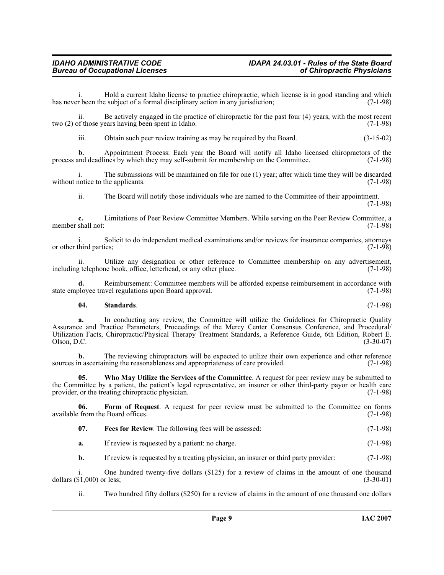i. Hold a current Idaho license to practice chiropractic, which license is in good standing and which r been the subject of a formal disciplinary action in any jurisdiction; (7-1-98) has never been the subject of a formal disciplinary action in any jurisdiction;

ii. Be actively engaged in the practice of chiropractic for the past four  $(4)$  years, with the most recent of those years having been spent in Idaho.  $(7-1-98)$ two  $(2)$  of those years having been spent in Idaho.

iii. Obtain such peer review training as may be required by the Board. (3-15-02)

**b.** Appointment Process: Each year the Board will notify all Idaho licensed chiropractors of the and deadlines by which they may self-submit for membership on the Committee. (7-1-98) process and deadlines by which they may self-submit for membership on the Committee.

i. The submissions will be maintained on file for one (1) year; after which time they will be discarded notice to the applicants.  $(7-1-98)$ without notice to the applicants.

ii. The Board will notify those individuals who are named to the Committee of their appointment. (7-1-98)

**c.** Limitations of Peer Review Committee Members. While serving on the Peer Review Committee, a shall not: (7-1-98) member shall not:

i. Solicit to do independent medical examinations and/or reviews for insurance companies, attorneys or other third parties;

ii. Utilize any designation or other reference to Committee membership on any advertisement, it determines to the place. (7-1-98) including telephone book, office, letterhead, or any other place.

Reimbursement: Committee members will be afforded expense reimbursement in accordance with wel regulations upon Board approval. (7-1-98) state employee travel regulations upon Board approval.

### <span id="page-8-2"></span>**04. Standards**. (7-1-98)

**a.** In conducting any review, the Committee will utilize the Guidelines for Chiropractic Quality Assurance and Practice Parameters, Proceedings of the Mercy Center Consensus Conference, and Procedural/ Utilization Facts, Chiropractic/Physical Therapy Treatment Standards, a Reference Guide, 6th Edition, Robert E.  $Olson, D.C.$  (3-30-07)

**b.** The reviewing chiropractors will be expected to utilize their own experience and other reference n ascertaining the reasonableness and appropriateness of care provided. (7-1-98) sources in ascertaining the reasonableness and appropriateness of care provided.

<span id="page-8-3"></span>**05. Who May Utilize the Services of the Committee**. A request for peer review may be submitted to the Committee by a patient, the patient's legal representative, an insurer or other third-party payor or health care provider, or the treating chiropractic physician. (7-1-98)

**06.** Form of Request. A request for peer review must be submitted to the Committee on forms from the Board offices. (7-1-98) available from the Board offices.

- <span id="page-8-1"></span><span id="page-8-0"></span>**07. Fees for Review**. The following fees will be assessed:  $(7-1-98)$
- **a.** If review is requested by a patient: no charge. (7-1-98)

**b.** If review is requested by a treating physician, an insurer or third party provider: (7-1-98)

i. One hundred twenty-five dollars  $(\$125)$  for a review of claims in the amount of one thousand  $\$1,000$  or less;  $(3-30-01)$ dollars  $(\$1,000)$  or less;

ii. Two hundred fifty dollars (\$250) for a review of claims in the amount of one thousand one dollars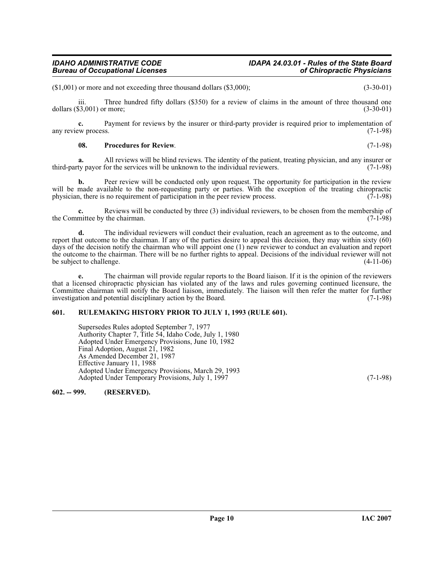# *IDAHO ADMINISTRATIVE CODE IDAPA 24.03.01 - Rules of the State Board*

(\$1,001) or more and not exceeding three thousand dollars (\$3,000); (3-30-01)

iii. Three hundred fifty dollars (\$350) for a review of claims in the amount of three thousand one dollars (\$3,001) or more; (3-30-01)

**c.** Payment for reviews by the insurer or third-party provider is required prior to implementation of ew process.  $(7-1-98)$ any review process.

#### <span id="page-9-2"></span>**08.** Procedures for Review.  $(7-1-98)$

**a.** All reviews will be blind reviews. The identity of the patient, treating physician, and any insurer or ty payor for the services will be unknown to the individual reviewers. (7-1-98) third-party payor for the services will be unknown to the individual reviewers.

**b.** Peer review will be conducted only upon request. The opportunity for participation in the review will be made available to the non-requesting party or parties. With the exception of the treating chiropractic physician, there is no requirement of participation in the peer review process. (7-1-98) physician, there is no requirement of participation in the peer review process.

Reviews will be conducted by three (3) individual reviewers, to be chosen from the membership of the Committee by the chairman. (7-1-98)

**d.** The individual reviewers will conduct their evaluation, reach an agreement as to the outcome, and report that outcome to the chairman. If any of the parties desire to appeal this decision, they may within sixty (60) days of the decision notify the chairman who will appoint one (1) new reviewer to conduct an evaluation and report the outcome to the chairman. There will be no further rights to appeal. Decisions of the individual reviewer will not be subject to challenge. (4-11-06)

**e.** The chairman will provide regular reports to the Board liaison. If it is the opinion of the reviewers that a licensed chiropractic physician has violated any of the laws and rules governing continued licensure, the Committee chairman will notify the Board liaison, immediately. The liaison will then refer the matter for further investigation and potential disciplinary action by the Board. (7-1-98) investigation and potential disciplinary action by the Board.

#### <span id="page-9-0"></span>**601. RULEMAKING HISTORY PRIOR TO JULY 1, 1993 (RULE 601).**

Supersedes Rules adopted September 7, 1977 Authority Chapter 7, Title 54, Idaho Code, July 1, 1980 Adopted Under Emergency Provisions, June 10, 1982 Final Adoption, August 21, 1982 As Amended December 21, 1987 Effective January 11, 1988 Adopted Under Emergency Provisions, March 29, 1993 Adopted Under Temporary Provisions, July 1, 1997 (7-1-98)

<span id="page-9-1"></span>**602. -- 999. (RESERVED).**